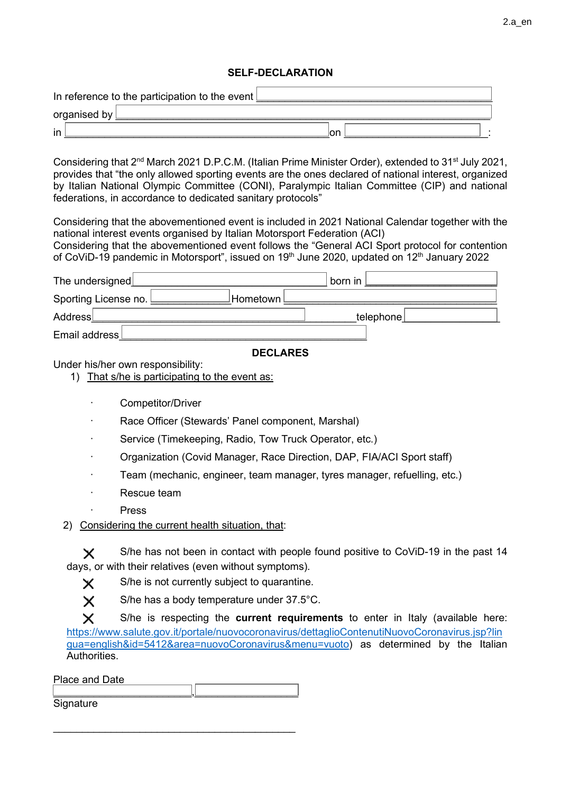# SELF-DECLARATION

| In reference to the participation to the event $\lfloor$ |  |     |  |
|----------------------------------------------------------|--|-----|--|
| organised by                                             |  |     |  |
| in                                                       |  | ∣on |  |

Considering that 2<sup>nd</sup> March 2021 D.P.C.M. (Italian Prime Minister Order), extended to 31<sup>st</sup> July 2021, provides that "the only allowed sporting events are the ones declared of national interest, organized by Italian National Olympic Committee (CONI), Paralympic Italian Committee (CIP) and national federations, in accordance to dedicated sanitary protocols"

Considering that the abovementioned event is included in 2021 National Calendar together with the national interest events organised by Italian Motorsport Federation (ACI)

Considering that the abovementioned event follows the "General ACI Sport protocol for contention of CoViD-19 pandemic in Motorsport", issued on 19<sup>th</sup> June 2020, updated on 12<sup>th</sup> January 2022

| The undersigned $\lfloor$                     | ั born in เ |  |
|-----------------------------------------------|-------------|--|
| Sporting License no. L<br>l <b>Hometown</b> l |             |  |
| Address                                       | telephone   |  |
| Email address L                               |             |  |

## DECLARES

Under his/her own responsibility:

1) That s/he is participating to the event as:

- $\odot$  Competitor/Driver
- Race Officer (Stewards' Panel component, Marshal)
- $\widehat{\mathcal{C}}$  Service (Timekeeping, Radio, Tow Truck Operator, etc.)
- Organization (Covid Manager, Race Direction, DAP, FIA/ACI Sport staff)
- Team (mechanic, engineer, team manager, tyres manager, refuelling, etc.)
- Rescue team
- $\bigcap$  Press
- 2) Considering the current health situation, that:

S/he has not been in contact with people found positive to CoViD-19 in the past 14 days, or with their relatives (even without symptoms).

 $\times$  S/he is not currently subject to quarantine.



 $\times$  S/he has a body temperature under 37.5°C.

 $\times$  S/he is respecting the current requirements to enter in Italy (available here: https://www.salute.gov.it/portale/nuovocoronavirus/dettaglioContenutiNuovoCoronavirus.jsp?lin gua=english&id=5412&area=nuovoCoronavirus&menu=vuoto) as determined by the Italian **Authorities** 

Place and Date \_\_\_\_\_\_\_\_\_\_\_\_\_\_\_\_\_\_\_\_\_\_\_\_,\_\_\_\_\_\_\_\_\_\_\_\_\_\_\_\_\_\_

\_\_\_\_\_\_\_\_\_\_\_\_\_\_\_\_\_\_\_\_\_\_\_\_\_\_\_\_\_\_\_\_\_\_\_\_\_\_\_\_\_\_

**Signature**